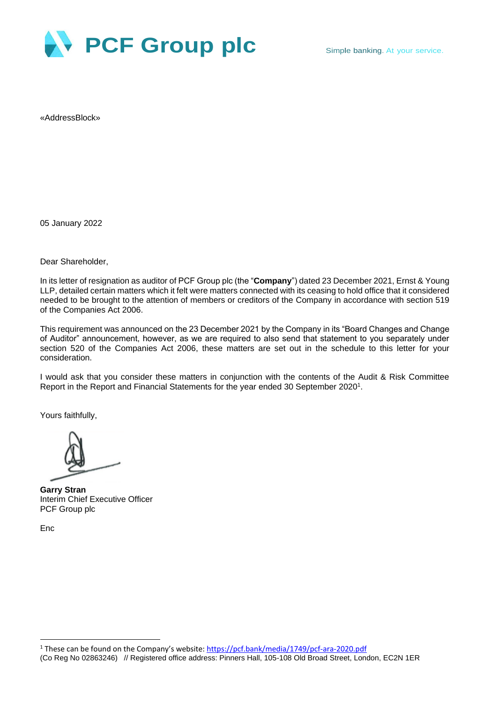

«AddressBlock»

05 January 2022

Dear Shareholder,

In its letter of resignation as auditor of PCF Group plc (the "**Company**") dated 23 December 2021, Ernst & Young LLP, detailed certain matters which it felt were matters connected with its ceasing to hold office that it considered needed to be brought to the attention of members or creditors of the Company in accordance with section 519 of the Companies Act 2006.

This requirement was announced on the 23 December 2021 by the Company in its "Board Changes and Change of Auditor" announcement, however, as we are required to also send that statement to you separately under section 520 of the Companies Act 2006, these matters are set out in the schedule to this letter for your consideration.

I would ask that you consider these matters in conjunction with the contents of the Audit & Risk Committee Report in the Report and Financial Statements for the year ended 30 September 2020<sup>1</sup>.

Yours faithfully,

**Garry Stran** Interim Chief Executive Officer PCF Group plc

Enc

<sup>(</sup>Co Reg No 02863246) // Registered office address: Pinners Hall, 105-108 Old Broad Street, London, EC2N 1ER <sup>1</sup> These can be found on the Company's website: <https://pcf.bank/media/1749/pcf-ara-2020.pdf>